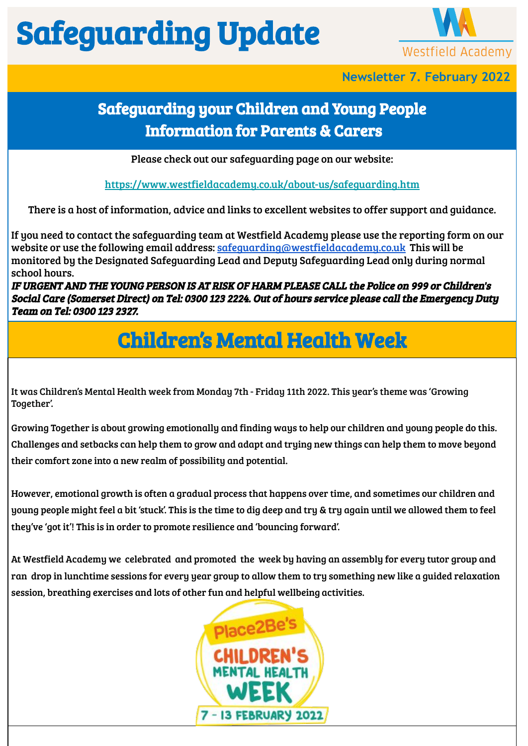## Safeguarding Update



**Newsletter 7. February 2022**

#### Safeguarding your Children and Young People Information for Parents & Carers

Please check out our safeguarding page on our website:

<https://www.westfieldacademy.co.uk/about-us/safeguarding.htm>

There is a host of information, advice and links to excellent websites to offer support and guidance.

If you need to contact the safeguarding team at Westfield Academy please use the reporting form on our website or use the following email address: [safeguarding@westfieldacademy.co.uk](mailto:safeguarding@westfieldacademy.co.uk) This will be monitored by the Designated Safeguarding Lead and Deputy Safeguarding Lead only during normal school hours.

IF URGENT AND THE YOUNG PERSON IS AT RISK OF HARM PLEASE CALL the Police on 999 or Children's Social Care (Somerset Direct) on Tel: 0300 123 2224. Out of hours service please call the Emergency Duty Team on Tel: 0300 123 2327.

## Children's Mental Health Week

It was Children's Mental Health week from Monday 7th - Friday 11th 2022. This year's theme was 'Growing Together'.

Growing Together is about growing emotionally and finding ways to help our children and young people do this. Challenges and setbacks can help them to grow and adapt and trying new things can help them to move beyond their comfort zone into a new realm of possibility and potential.

However, emotional growth is often a gradual process that happens over time, and sometimes our children and young people might feel a bit 'stuck'. This is the time to dig deep and try & try again until we allowed them to feel they've 'got it'! This is in order to promote resilience and 'bouncing forward'.

At Westfield Academy we celebrated and promoted the week by having an assembly for every tutor group and ran drop in lunchtime sessions for every year group to allow them to try something new like a guided relaxation session, breathing exercises and lots of other fun and helpful wellbeing activities.